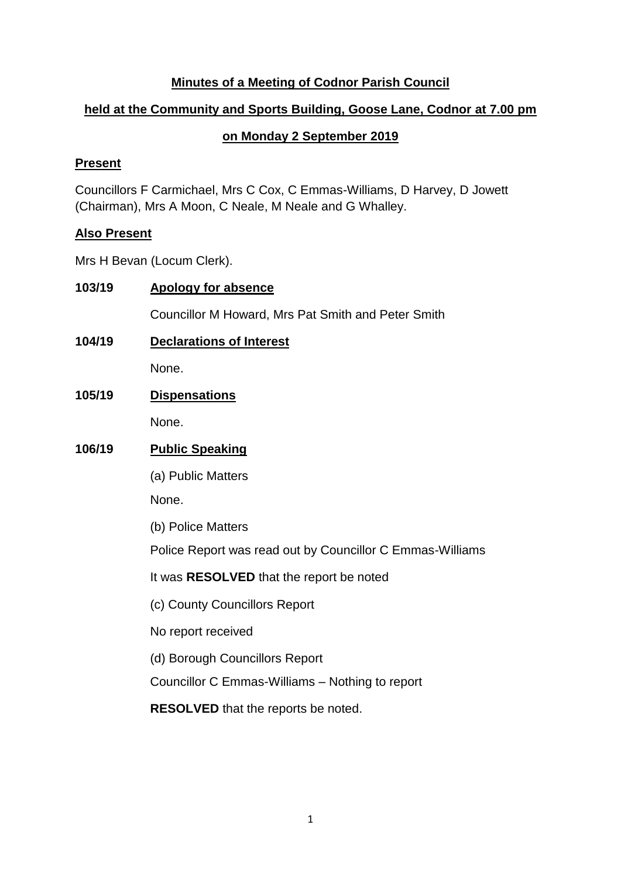## **Minutes of a Meeting of Codnor Parish Council**

## **held at the Community and Sports Building, Goose Lane, Codnor at 7.00 pm**

# **on Monday 2 September 2019**

## **Present**

Councillors F Carmichael, Mrs C Cox, C Emmas-Williams, D Harvey, D Jowett (Chairman), Mrs A Moon, C Neale, M Neale and G Whalley.

## **Also Present**

Mrs H Bevan (Locum Clerk).

| 103/19 | <b>Apology for absence</b>                                |  |  |
|--------|-----------------------------------------------------------|--|--|
|        | Councillor M Howard, Mrs Pat Smith and Peter Smith        |  |  |
| 104/19 | <b>Declarations of Interest</b>                           |  |  |
|        | None.                                                     |  |  |
| 105/19 | <b>Dispensations</b>                                      |  |  |
|        | None.                                                     |  |  |
| 106/19 | <b>Public Speaking</b>                                    |  |  |
|        | (a) Public Matters                                        |  |  |
|        | None.                                                     |  |  |
|        | (b) Police Matters                                        |  |  |
|        | Police Report was read out by Councillor C Emmas-Williams |  |  |
|        | It was <b>RESOLVED</b> that the report be noted           |  |  |
|        | (c) County Councillors Report                             |  |  |
|        | No report received                                        |  |  |
|        | (d) Borough Councillors Report                            |  |  |
|        | Councillor C Emmas-Williams - Nothing to report           |  |  |
|        | <b>RESOLVED</b> that the reports be noted.                |  |  |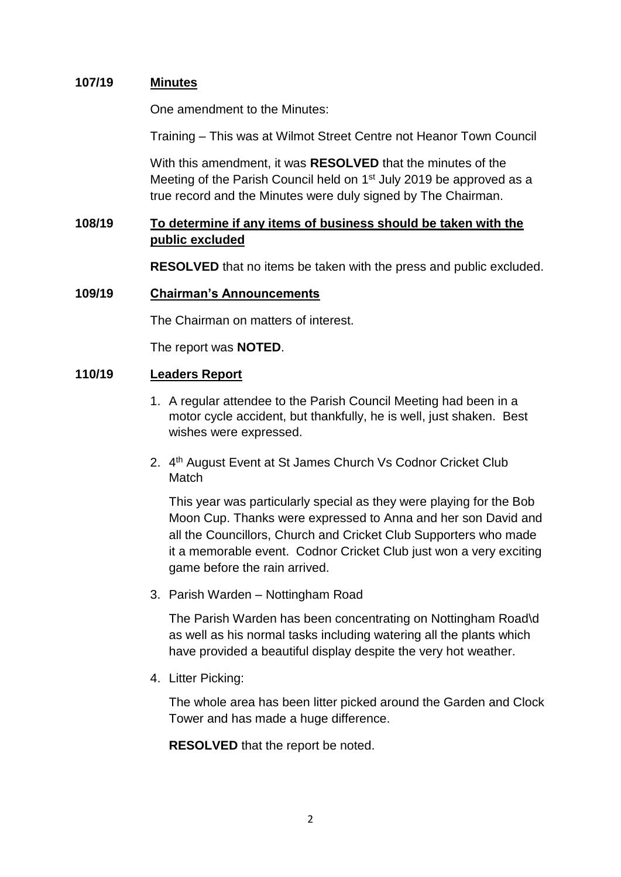### **107/19 Minutes**

One amendment to the Minutes:

Training – This was at Wilmot Street Centre not Heanor Town Council

With this amendment, it was **RESOLVED** that the minutes of the Meeting of the Parish Council held on 1<sup>st</sup> July 2019 be approved as a true record and the Minutes were duly signed by The Chairman.

## **108/19 To determine if any items of business should be taken with the public excluded**

**RESOLVED** that no items be taken with the press and public excluded.

#### **109/19 Chairman's Announcements**

The Chairman on matters of interest.

The report was **NOTED**.

### **110/19 Leaders Report**

- 1. A regular attendee to the Parish Council Meeting had been in a motor cycle accident, but thankfully, he is well, just shaken. Best wishes were expressed.
- 2. 4<sup>th</sup> August Event at St James Church Vs Codnor Cricket Club Match

This year was particularly special as they were playing for the Bob Moon Cup. Thanks were expressed to Anna and her son David and all the Councillors, Church and Cricket Club Supporters who made it a memorable event. Codnor Cricket Club just won a very exciting game before the rain arrived.

3. Parish Warden – Nottingham Road

The Parish Warden has been concentrating on Nottingham Road\d as well as his normal tasks including watering all the plants which have provided a beautiful display despite the very hot weather.

4. Litter Picking:

The whole area has been litter picked around the Garden and Clock Tower and has made a huge difference.

**RESOLVED** that the report be noted.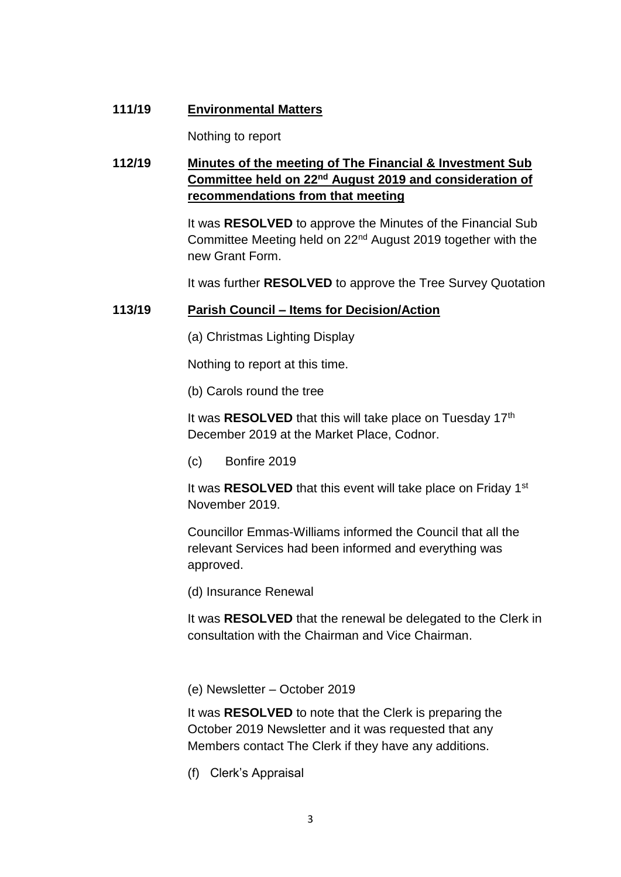### **111/19 Environmental Matters**

Nothing to report

# **112/19 Minutes of the meeting of The Financial & Investment Sub Committee held on 22nd August 2019 and consideration of recommendations from that meeting**

It was **RESOLVED** to approve the Minutes of the Financial Sub Committee Meeting held on 22nd August 2019 together with the new Grant Form.

It was further **RESOLVED** to approve the Tree Survey Quotation

### **113/19 Parish Council – Items for Decision/Action**

(a) Christmas Lighting Display

Nothing to report at this time.

(b) Carols round the tree

It was **RESOLVED** that this will take place on Tuesday 17<sup>th</sup> December 2019 at the Market Place, Codnor.

(c) Bonfire 2019

It was **RESOLVED** that this event will take place on Friday 1<sup>st</sup> November 2019.

Councillor Emmas-Williams informed the Council that all the relevant Services had been informed and everything was approved.

(d) Insurance Renewal

It was **RESOLVED** that the renewal be delegated to the Clerk in consultation with the Chairman and Vice Chairman.

(e) Newsletter – October 2019

It was **RESOLVED** to note that the Clerk is preparing the October 2019 Newsletter and it was requested that any Members contact The Clerk if they have any additions.

(f) Clerk's Appraisal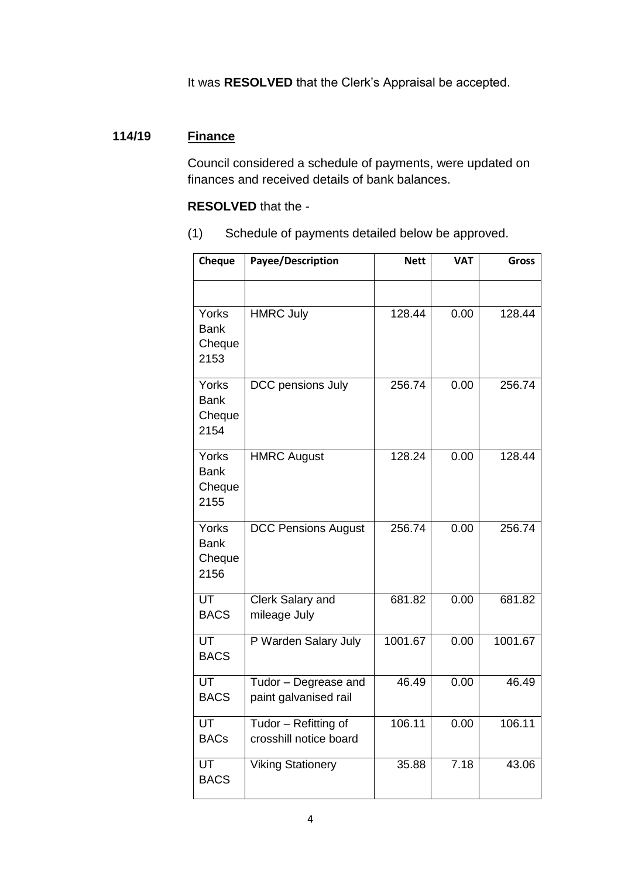It was **RESOLVED** that the Clerk's Appraisal be accepted.

## **114/19 Finance**

Council considered a schedule of payments, were updated on finances and received details of bank balances.

#### **RESOLVED** that the -

(1) Schedule of payments detailed below be approved.

| Cheque                                 | Payee/Description                              | <b>Nett</b> | <b>VAT</b> | <b>Gross</b> |
|----------------------------------------|------------------------------------------------|-------------|------------|--------------|
|                                        |                                                |             |            |              |
| Yorks<br><b>Bank</b><br>Cheque<br>2153 | <b>HMRC July</b>                               | 128.44      | 0.00       | 128.44       |
| Yorks<br><b>Bank</b><br>Cheque<br>2154 | DCC pensions July                              | 256.74      | 0.00       | 256.74       |
| Yorks<br><b>Bank</b><br>Cheque<br>2155 | <b>HMRC August</b>                             | 128.24      | 0.00       | 128.44       |
| Yorks<br><b>Bank</b><br>Cheque<br>2156 | <b>DCC Pensions August</b>                     | 256.74      | 0.00       | 256.74       |
| UT<br><b>BACS</b>                      | Clerk Salary and<br>mileage July               | 681.82      | 0.00       | 681.82       |
| UT<br><b>BACS</b>                      | P Warden Salary July                           | 1001.67     | 0.00       | 1001.67      |
| UT<br><b>BACS</b>                      | Tudor - Degrease and<br>paint galvanised rail  | 46.49       | 0.00       | 46.49        |
| UT<br><b>BACs</b>                      | Tudor – Refitting of<br>crosshill notice board | 106.11      | 0.00       | 106.11       |
| UT<br><b>BACS</b>                      | <b>Viking Stationery</b>                       | 35.88       | 7.18       | 43.06        |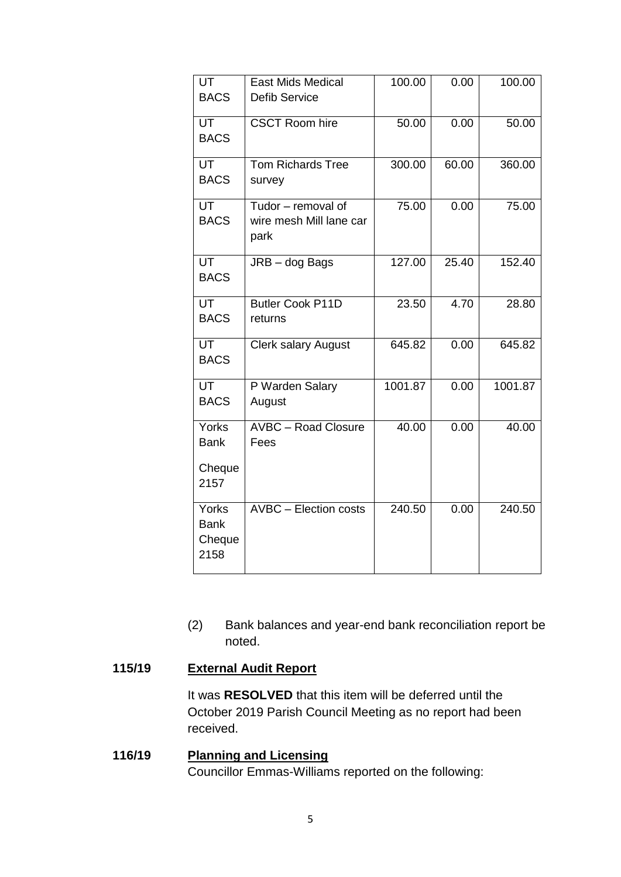| UT<br><b>BACS</b>                       | <b>East Mids Medical</b><br><b>Defib Service</b>      | 100.00  | 0.00  | 100.00  |
|-----------------------------------------|-------------------------------------------------------|---------|-------|---------|
|                                         |                                                       |         |       |         |
| UT<br><b>BACS</b>                       | <b>CSCT Room hire</b>                                 | 50.00   | 0.00  | 50.00   |
| <b>UT</b><br><b>BACS</b>                | <b>Tom Richards Tree</b><br>survey                    | 300.00  | 60.00 | 360.00  |
| <b>UT</b><br><b>BACS</b>                | Tudor - removal of<br>wire mesh Mill lane car<br>park | 75.00   | 0.00  | 75.00   |
| UT<br><b>BACS</b>                       | JRB - dog Bags                                        | 127.00  | 25.40 | 152.40  |
| UT<br><b>BACS</b>                       | <b>Butler Cook P11D</b><br>returns                    | 23.50   | 4.70  | 28.80   |
| UT<br><b>BACS</b>                       | <b>Clerk salary August</b>                            | 645.82  | 0.00  | 645.82  |
| $\overline{\mathsf{UT}}$<br><b>BACS</b> | P Warden Salary<br>August                             | 1001.87 | 0.00  | 1001.87 |
| Yorks<br><b>Bank</b>                    | <b>AVBC - Road Closure</b><br>Fees                    | 40.00   | 0.00  | 40.00   |
| Cheque<br>2157                          |                                                       |         |       |         |
| Yorks<br><b>Bank</b><br>Cheque<br>2158  | AVBC - Election costs                                 | 240.50  | 0.00  | 240.50  |

(2) Bank balances and year-end bank reconciliation report be noted.

## **115/19 External Audit Report**

It was **RESOLVED** that this item will be deferred until the October 2019 Parish Council Meeting as no report had been received.

**116/19 Planning and Licensing** Councillor Emmas-Williams reported on the following: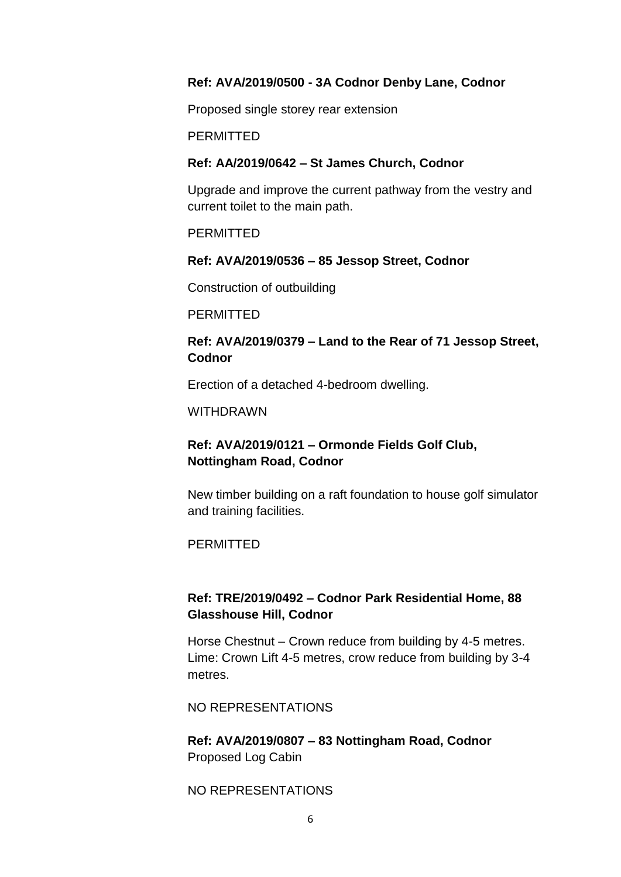#### **Ref: AVA/2019/0500 - 3A Codnor Denby Lane, Codnor**

Proposed single storey rear extension

**PERMITTED** 

#### **Ref: AA/2019/0642 – St James Church, Codnor**

Upgrade and improve the current pathway from the vestry and current toilet to the main path.

**PERMITTED** 

#### **Ref: AVA/2019/0536 – 85 Jessop Street, Codnor**

Construction of outbuilding

**PERMITTED** 

### **Ref: AVA/2019/0379 – Land to the Rear of 71 Jessop Street, Codnor**

Erection of a detached 4-bedroom dwelling.

WITHDRAWN

## **Ref: AVA/2019/0121 – Ormonde Fields Golf Club, Nottingham Road, Codnor**

New timber building on a raft foundation to house golf simulator and training facilities.

**PERMITTED** 

## **Ref: TRE/2019/0492 – Codnor Park Residential Home, 88 Glasshouse Hill, Codnor**

Horse Chestnut – Crown reduce from building by 4-5 metres. Lime: Crown Lift 4-5 metres, crow reduce from building by 3-4 metres.

NO REPRESENTATIONS

**Ref: AVA/2019/0807 – 83 Nottingham Road, Codnor** Proposed Log Cabin

NO REPRESENTATIONS